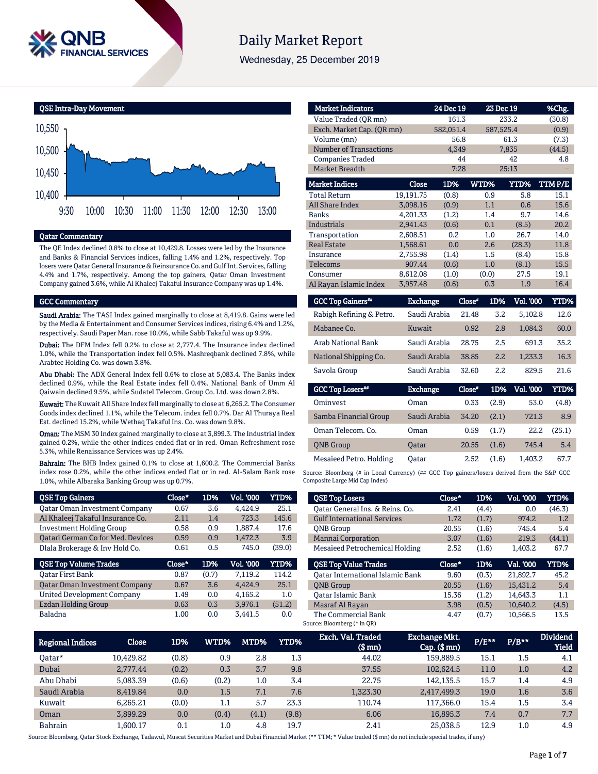

# **Daily Market Report**

Wednesday, 25 December 2019



# Qatar Commentary

The QE Index declined 0.8% to close at 10,429.8. Losses were led by the Insurance and Banks & Financial Services indices, falling 1.4% and 1.2%, respectively. Top losers were Qatar General Insurance & Reinsurance Co. and Gulf Int. Services, falling 4.4% and 1.7%, respectively. Among the top gainers, Qatar Oman Investment Company gained 3.6%, while Al Khaleej Takaful Insurance Company was up 1.4%.

### GCC Commentary

Saudi Arabia: The TASI Index gained marginally to close at 8,419.8. Gains were led by the Media & Entertainment and Consumer Services indices, rising 6.4% and 1.2%, respectively. Saudi Paper Man. rose 10.0%, while Sabb Takaful was up 9.9%.

Dubai: The DFM Index fell 0.2% to close at 2,777.4. The Insurance index declined 1.0%, while the Transportation index fell 0.5%. Mashreqbank declined 7.8%, while Arabtec Holding Co. was down 3.8%.

Abu Dhabi: The ADX General Index fell 0.6% to close at 5,083.4. The Banks index declined 0.9%, while the Real Estate index fell 0.4%. National Bank of Umm Al Qaiwain declined 9.5%, while Sudatel Telecom. Group Co. Ltd. was down 2.8%.

Kuwait: The Kuwait All Share Index fell marginally to close at 6,265.2. The Consumer Goods index declined 1.1%, while the Telecom. index fell 0.7%. Dar Al Thuraya Real Est. declined 15.2%, while Wethaq Takaful Ins. Co. was down 9.8%.

Oman: The MSM 30 Index gained marginally to close at 3,899.3. The Industrial index gained 0.2%, while the other indices ended flat or in red. Oman Refreshment rose 5.3%, while Renaissance Services was up 2.4%.

Bahrain: The BHB Index gained 0.1% to close at 1,600.2. The Commercial Banks index rose 0.2%, while the other indices ended flat or in red. Al-Salam Bank rose 1.0%, while Albaraka Banking Group was up 0.7%.

| <b>QSE Top Gainers</b>                   | Close* | 1D%   | Vol. '000 | YTD%   |
|------------------------------------------|--------|-------|-----------|--------|
| <b>Qatar Oman Investment Company</b>     | 0.67   | 3.6   | 4.424.9   | 25.1   |
| Al Khaleej Takaful Insurance Co.         | 2.11   | 1.4   | 723.3     | 145.6  |
| <b>Investment Holding Group</b>          | 0.58   | 0.9   | 1.887.4   | 17.6   |
| <b>Qatari German Co for Med. Devices</b> | 0.59   | 0.9   | 1,472.3   | 3.9    |
| Dlala Brokerage & Inv Hold Co.           | 0.61   | 0.5   | 745.0     | (39.0) |
|                                          |        |       |           |        |
| <b>QSE Top Volume Trades</b>             | Close* | 1D%   | Vol. '000 | YTD%   |
| <b>Oatar First Bank</b>                  | 0.87   | (0.7) | 7.119.2   | 114.2  |
| <b>Qatar Oman Investment Company</b>     | 0.67   | 3.6   | 4.424.9   | 25.1   |
| <b>United Development Company</b>        | 1.49   | 0.0   | 4,165.2   | 1.0    |
| <b>Ezdan Holding Group</b>               | 0.63   | 0.3   | 3.976.1   | (51.2) |

| <b>Market Indicators</b>  |           | 24 Dec 19 |       | 23 Dec 19 | %Chg.  |
|---------------------------|-----------|-----------|-------|-----------|--------|
| Value Traded (OR mn)      |           | 161.3     |       | 233.2     | (30.8) |
| Exch. Market Cap. (QR mn) |           | 582,051.4 |       | 587,525.4 | (0.9)  |
| Volume (mn)               |           | 56.8      |       | 61.3      | (7.3)  |
| Number of Transactions    |           | 4,349     |       | 7,835     | (44.5) |
| <b>Companies Traded</b>   |           | 44        |       | 42        | 4.8    |
| <b>Market Breadth</b>     |           | 7:28      |       | 25:13     |        |
| <b>Market Indices</b>     | Close     | 1D%       | WTD%  | YTD%      | TTMP/E |
| <b>Total Return</b>       | 19.191.75 | (0.8)     | 0.9   | 5.8       | 15.1   |
| <b>All Share Index</b>    | 3,098.16  | (0.9)     | 1.1   | 0.6       | 15.6   |
| Banks                     | 4.201.33  | (1.2)     | 1.4   | 9.7       | 14.6   |
| <b>Industrials</b>        | 2,941.43  | (0.6)     | 0.1   | (8.5)     | 20.2   |
| Transportation            | 2.608.51  | 0.2       | 1.0   | 26.7      | 14.0   |
| <b>Real Estate</b>        | 1,568.61  | 0.0       | 2.6   | (28.3)    | 11.8   |
| Insurance                 | 2,755.98  | (1.4)     | 1.5   | (8.4)     | 15.8   |
| <b>Telecoms</b>           | 907.44    | (0.6)     | 1.0   | (8.1)     | 15.5   |
| Consumer                  | 8,612.08  | (1.0)     | (0.0) | 27.5      | 19.1   |
| Al Rayan Islamic Index    | 3,957.48  | (0.6)     | 0.3   | 1.9       | 16.4   |

| <b>GCC Top Gainers**</b> | <b>Exchange</b> | Close* | 1D% | Vol. '000 | YTD% |
|--------------------------|-----------------|--------|-----|-----------|------|
| Rabigh Refining & Petro. | Saudi Arabia    | 21.48  | 3.2 | 5.102.8   | 12.6 |
| Mabanee Co.              | Kuwait          | 0.92   | 2.8 | 1,084.3   | 60.0 |
| Arab National Bank       | Saudi Arabia    | 28.75  | 2.5 | 691.3     | 35.2 |
| National Shipping Co.    | Saudi Arabia    | 38.85  | 2.2 | 1.233.3   | 16.3 |
| Savola Group             | Saudi Arabia    | 32.60  | 2.2 | 829.5     | 21.6 |
| <b>GCC Top Losers**</b>  | <b>Exchange</b> | Close* | 1D% | Vol. '000 | YTD% |
|                          |                 |        |     |           |      |
|                          |                 |        |     |           |      |

| Ominyest                | Oman         | 0.33  | (2.9) | 53.0    | (4.8)  |
|-------------------------|--------------|-------|-------|---------|--------|
| Samba Financial Group   | Saudi Arabia | 34.20 | (2.1) | 721.3   | 8.9    |
| Oman Telecom. Co.       | Oman         | 0.59  | (1.7) | 22.2    | (25.1) |
| <b>ONB</b> Group        | <b>Oatar</b> | 20.55 | (1.6) | 745.4   | 5.4    |
| Mesaieed Petro. Holding | Oatar        | 2.52  | (1.6) | 1.403.2 | 67.7   |

Source: Bloomberg (# in Local Currency) (## GCC Top gainers/losers derived from the S&P GCC Composite Large Mid Cap Index)

| <b>QSE Top Losers</b>                              | Close* | 1D%   | Vol. '000 | YTD%   |
|----------------------------------------------------|--------|-------|-----------|--------|
| Oatar General Ins. & Reins. Co.                    | 2.41   | (4.4) | 0.0       | (46.3) |
| <b>Gulf International Services</b>                 | 1.72   | (1.7) | 974.2     | 1.2    |
| <b>ONB</b> Group                                   | 20.55  | (1.6) | 745.4     | 5.4    |
| <b>Mannai Corporation</b>                          | 3.07   | (1.6) | 219.3     | (44.1) |
| Mesaieed Petrochemical Holding                     | 2.52   | (1.6) | 1.403.2   | 67.7   |
|                                                    |        |       |           |        |
| <b>QSE Top Value Trades</b>                        | Close* | 1D%   | Val. '000 | YTD%   |
| <b>Oatar International Islamic Bank</b>            | 9.60   | (0.3) | 21.892.7  | 45.2   |
| <b>ONB</b> Group                                   | 20.55  | (1.6) | 15,431.2  | 5.4    |
| Oatar Islamic Bank                                 | 15.36  | (1.2) | 14.643.3  | 1.1    |
| Masraf Al Rayan                                    | 3.98   | (0.5) | 10,640.2  | (4.5)  |
| The Commercial Bank<br>Source: Bloomberg (* in QR) | 4.47   | (0.7) | 10.566.5  | 13.5   |

| Regional Indices | Close     | 1D%   | WTD%    | MTD%  | <b>YTD%</b> | Exch. Val. Traded<br>$$$ mn) | <b>Exchange Mkt.</b><br>$Cap.$ (\$ $mn$ ) | P/E** | $P/B**$ | <b>Dividend</b><br><b>Yield</b> |
|------------------|-----------|-------|---------|-------|-------------|------------------------------|-------------------------------------------|-------|---------|---------------------------------|
| Oatar*           | 10.429.82 | (0.8) | 0.9     | 2.8   | 1.3         | 44.02                        | 159,889.5                                 | 15.1  | $1.5\,$ | 4.1                             |
| Dubai            | 2.777.44  | (0.2) | 0.3     | 3.7   | 9.8         | 37.55                        | 102.624.5                                 | 11.0  | 1.0     | 4.2                             |
| Abu Dhabi        | 5.083.39  | (0.6) | (0.2)   | 1.0   | 3.4         | 22.75                        | 142.135.5                                 | 15.7  | 1.4     | 4.9                             |
| Saudi Arabia     | 8.419.84  | 0.0   | 1.5     | 7.1   | 7.6         | 1.323.30                     | 2,417,499.3                               | 19.0  | 1.6     | 3.6                             |
| Kuwait           | 6.265.21  | (0.0) | $1.1\,$ | 5.7   | 23.3        | 110.74                       | 117.366.0                                 | 15.4  | $1.5\,$ | 3.4                             |
| Oman             | 3.899.29  | 0.0   | (0.4)   | (4.1) | (9.8)       | 6.06                         | 16,895.3                                  | 7.4   | 0.7     | 7.7                             |
| <b>Bahrain</b>   | 1.600.17  | 0.1   | 1.0     | 4.8   | 19.7        | 2.41                         | 25.038.5                                  | 12.9  | 1.0     | 4.9                             |

Source: Bloomberg, Qatar Stock Exchange, Tadawul, Muscat Securities Market and Dubai Financial Market (\*\* TTM; \* Value traded (\$ mn) do not include special trades, if any)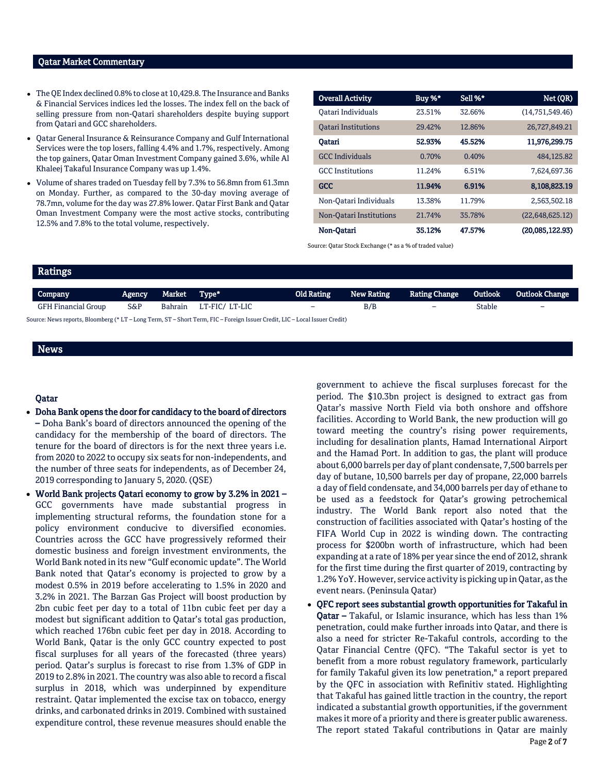# Qatar Market Commentary

- The QE Index declined 0.8% to close at 10,429.8. The Insurance and Banks & Financial Services indices led the losses. The index fell on the back of selling pressure from non-Qatari shareholders despite buying support from Qatari and GCC shareholders.
- Qatar General Insurance & Reinsurance Company and Gulf International Services were the top losers, falling 4.4% and 1.7%, respectively. Among the top gainers, Qatar Oman Investment Company gained 3.6%, while Al Khaleej Takaful Insurance Company was up 1.4%.
- Volume of shares traded on Tuesday fell by 7.3% to 56.8mn from 61.3mn on Monday. Further, as compared to the 30-day moving average of 78.7mn, volume for the day was 27.8% lower. Qatar First Bank and Qatar Oman Investment Company were the most active stocks, contributing 12.5% and 7.8% to the total volume, respectively.

| <b>Overall Activity</b>    | Buy %* | Sell %* | Net (QR)        |
|----------------------------|--------|---------|-----------------|
| Oatari Individuals         | 23.51% | 32.66%  | (14,751,549.46) |
| <b>Oatari Institutions</b> | 29.42% | 12.86%  | 26,727,849.21   |
| Oatari                     | 52.93% | 45.52%  | 11,976,299.75   |
| <b>GCC</b> Individuals     | 0.70%  | 0.40%   | 484.125.82      |
| <b>GCC</b> Institutions    | 11.24% | 6.51%   | 7,624,697.36    |
| <b>GCC</b>                 | 11.94% | 6.91%   | 8,108,823.19    |
| Non-Qatari Individuals     | 13.38% | 11.79%  | 2,563,502.18    |
| Non-Oatari Institutions    | 21.74% | 35.78%  | (22,648,625.12) |
| Non-Qatari                 | 35.12% | 47.57%  | (20,085,122.93) |

Source: Qatar Stock Exchange (\* as a % of traded value)

| Ratings                    |                                                                                                                             |         |                |                          |                   |                          |         |                          |  |  |
|----------------------------|-----------------------------------------------------------------------------------------------------------------------------|---------|----------------|--------------------------|-------------------|--------------------------|---------|--------------------------|--|--|
| Company                    | Agency                                                                                                                      | Market  | Type*          | Old Rating               | <b>New Rating</b> | <b>Rating Change</b>     | Outlook | <b>Outlook Change</b>    |  |  |
| <b>GFH Financial Group</b> | S&P                                                                                                                         | Bahrain | LT-FIC/ LT-LIC | $\overline{\phantom{0}}$ | B/B               | $\overline{\phantom{0}}$ | Stable  | $\overline{\phantom{0}}$ |  |  |
|                            | Source: News reports, Bloomberg (* LT – Long Term, ST – Short Term, FIC – Foreign Issuer Credit, LIC – Local Issuer Credit) |         |                |                          |                   |                          |         |                          |  |  |

# News

# Qatar

- Doha Bank opens the door for candidacy to the board of directors – Doha Bank's board of directors announced the opening of the candidacy for the membership of the board of directors. The tenure for the board of directors is for the next three years i.e. from 2020 to 2022 to occupy six seats for non-independents, and the number of three seats for independents, as of December 24, 2019 corresponding to January 5, 2020. (QSE)
- World Bank projects Qatari economy to grow by 3.2% in 2021 GCC governments have made substantial progress in implementing structural reforms, the foundation stone for a policy environment conducive to diversified economies. Countries across the GCC have progressively reformed their domestic business and foreign investment environments, the World Bank noted in its new "Gulf economic update". The World Bank noted that Qatar's economy is projected to grow by a modest 0.5% in 2019 before accelerating to 1.5% in 2020 and 3.2% in 2021. The Barzan Gas Project will boost production by 2bn cubic feet per day to a total of 11bn cubic feet per day a modest but significant addition to Qatar's total gas production, which reached 176bn cubic feet per day in 2018. According to World Bank, Qatar is the only GCC country expected to post fiscal surpluses for all years of the forecasted (three years) period. Qatar's surplus is forecast to rise from 1.3% of GDP in 2019 to 2.8% in 2021. The country was also able to record a fiscal surplus in 2018, which was underpinned by expenditure restraint. Qatar implemented the excise tax on tobacco, energy drinks, and carbonated drinks in 2019. Combined with sustained expenditure control, these revenue measures should enable the

government to achieve the fiscal surpluses forecast for the period. The \$10.3bn project is designed to extract gas from Qatar's massive North Field via both onshore and offshore facilities. According to World Bank, the new production will go toward meeting the country's rising power requirements, including for desalination plants, Hamad International Airport and the Hamad Port. In addition to gas, the plant will produce about 6,000 barrels per day of plant condensate, 7,500 barrels per day of butane, 10,500 barrels per day of propane, 22,000 barrels a day of field condensate, and 34,000 barrels per day of ethane to be used as a feedstock for Qatar's growing petrochemical industry. The World Bank report also noted that the construction of facilities associated with Qatar's hosting of the FIFA World Cup in 2022 is winding down. The contracting process for \$200bn worth of infrastructure, which had been expanding at a rate of 18% per year since the end of 2012, shrank for the first time during the first quarter of 2019, contracting by 1.2% YoY. However, service activity is picking up in Qatar, as the event nears. (Peninsula Qatar)

 QFC report sees substantial growth opportunities for Takaful in Qatar – Takaful, or Islamic insurance, which has less than 1% penetration, could make further inroads into Qatar, and there is also a need for stricter Re-Takaful controls, according to the Qatar Financial Centre (QFC). "The Takaful sector is yet to benefit from a more robust regulatory framework, particularly for family Takaful given its low penetration," a report prepared by the QFC in association with Refinitiv stated. Highlighting that Takaful has gained little traction in the country, the report indicated a substantial growth opportunities, if the government makes it more of a priority and there is greater public awareness. The report stated Takaful contributions in Qatar are mainly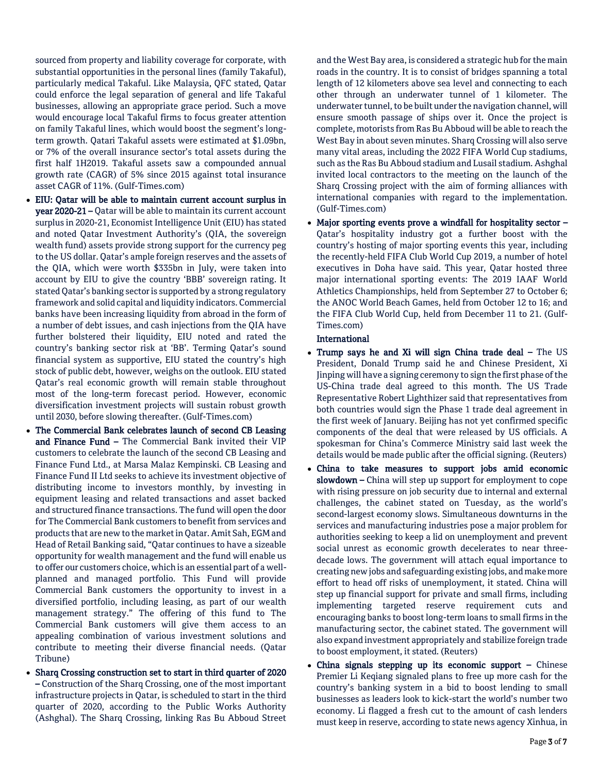sourced from property and liability coverage for corporate, with substantial opportunities in the personal lines (family Takaful), particularly medical Takaful. Like Malaysia, QFC stated, Qatar could enforce the legal separation of general and life Takaful businesses, allowing an appropriate grace period. Such a move would encourage local Takaful firms to focus greater attention on family Takaful lines, which would boost the segment's longterm growth. Qatari Takaful assets were estimated at \$1.09bn, or 7% of the overall insurance sector's total assets during the first half 1H2019. Takaful assets saw a compounded annual growth rate (CAGR) of 5% since 2015 against total insurance asset CAGR of 11%. (Gulf-Times.com)

- EIU: Qatar will be able to maintain current account surplus in year 2020-21 – Qatar will be able to maintain its current account surplus in 2020-21, Economist Intelligence Unit (EIU) has stated and noted Qatar Investment Authority's (QIA, the sovereign wealth fund) assets provide strong support for the currency peg to the US dollar. Qatar's ample foreign reserves and the assets of the QIA, which were worth \$335bn in July, were taken into account by EIU to give the country 'BBB' sovereign rating. It stated Qatar's banking sector is supported by a strong regulatory framework and solid capital and liquidity indicators. Commercial banks have been increasing liquidity from abroad in the form of a number of debt issues, and cash injections from the QIA have further bolstered their liquidity, EIU noted and rated the country's banking sector risk at 'BB'. Terming Qatar's sound financial system as supportive, EIU stated the country's high stock of public debt, however, weighs on the outlook. EIU stated Qatar's real economic growth will remain stable throughout most of the long-term forecast period. However, economic diversification investment projects will sustain robust growth until 2030, before slowing thereafter. (Gulf-Times.com)
- The Commercial Bank celebrates launch of second CB Leasing and Finance Fund – The Commercial Bank invited their VIP customers to celebrate the launch of the second CB Leasing and Finance Fund Ltd., at Marsa Malaz Kempinski. CB Leasing and Finance Fund II Ltd seeks to achieve its investment objective of distributing income to investors monthly, by investing in equipment leasing and related transactions and asset backed and structured finance transactions. The fund will open the door for The Commercial Bank customers to benefit from services and products that are new to the market in Qatar. Amit Sah, EGM and Head of Retail Banking said, "Qatar continues to have a sizeable opportunity for wealth management and the fund will enable us to offer our customers choice, which is an essential part of a wellplanned and managed portfolio. This Fund will provide Commercial Bank customers the opportunity to invest in a diversified portfolio, including leasing, as part of our wealth management strategy." The offering of this fund to The Commercial Bank customers will give them access to an appealing combination of various investment solutions and contribute to meeting their diverse financial needs. (Qatar Tribune)
- Sharq Crossing construction set to start in third quarter of 2020 – Construction of the Sharq Crossing, one of the most important infrastructure projects in Qatar, is scheduled to start in the third quarter of 2020, according to the Public Works Authority (Ashghal). The Sharq Crossing, linking Ras Bu Abboud Street

and the West Bay area, is considered a strategic hub for the main roads in the country. It is to consist of bridges spanning a total length of 12 kilometers above sea level and connecting to each other through an underwater tunnel of 1 kilometer. The underwater tunnel, to be built under the navigation channel, will ensure smooth passage of ships over it. Once the project is complete, motorists from Ras Bu Abboud will be able to reach the West Bay in about seven minutes. Sharq Crossing will also serve many vital areas, including the 2022 FIFA World Cup stadiums, such as the Ras Bu Abboud stadium and Lusail stadium. Ashghal invited local contractors to the meeting on the launch of the Sharq Crossing project with the aim of forming alliances with international companies with regard to the implementation. (Gulf-Times.com)

 Major sporting events prove a windfall for hospitality sector – Qatar's hospitality industry got a further boost with the country's hosting of major sporting events this year, including the recently-held FIFA Club World Cup 2019, a number of hotel executives in Doha have said. This year, Qatar hosted three major international sporting events: The 2019 IAAF World Athletics Championships, held from September 27 to October 6; the ANOC World Beach Games, held from October 12 to 16; and the FIFA Club World Cup, held from December 11 to 21. (Gulf-Times.com)

# International

- Trump says he and Xi will sign China trade deal The US President, Donald Trump said he and Chinese President, Xi Jinping will have a signing ceremony to sign the first phase of the US-China trade deal agreed to this month. The US Trade Representative Robert Lighthizer said that representatives from both countries would sign the Phase 1 trade deal agreement in the first week of January. Beijing has not yet confirmed specific components of the deal that were released by US officials. A spokesman for China's Commerce Ministry said last week the details would be made public after the official signing. (Reuters)
- China to take measures to support jobs amid economic slowdown – China will step up support for employment to cope with rising pressure on job security due to internal and external challenges, the cabinet stated on Tuesday, as the world's second-largest economy slows. Simultaneous downturns in the services and manufacturing industries pose a major problem for authorities seeking to keep a lid on unemployment and prevent social unrest as economic growth decelerates to near threedecade lows. The government will attach equal importance to creating new jobs and safeguarding existing jobs, and make more effort to head off risks of unemployment, it stated. China will step up financial support for private and small firms, including implementing targeted reserve requirement cuts and encouraging banks to boost long-term loans to small firms in the manufacturing sector, the cabinet stated. The government will also expand investment appropriately and stabilize foreign trade to boost employment, it stated. (Reuters)
- China signals stepping up its economic support Chinese Premier Li Keqiang signaled plans to free up more cash for the country's banking system in a bid to boost lending to small businesses as leaders look to kick-start the world's number two economy. Li flagged a fresh cut to the amount of cash lenders must keep in reserve, according to state news agency Xinhua, in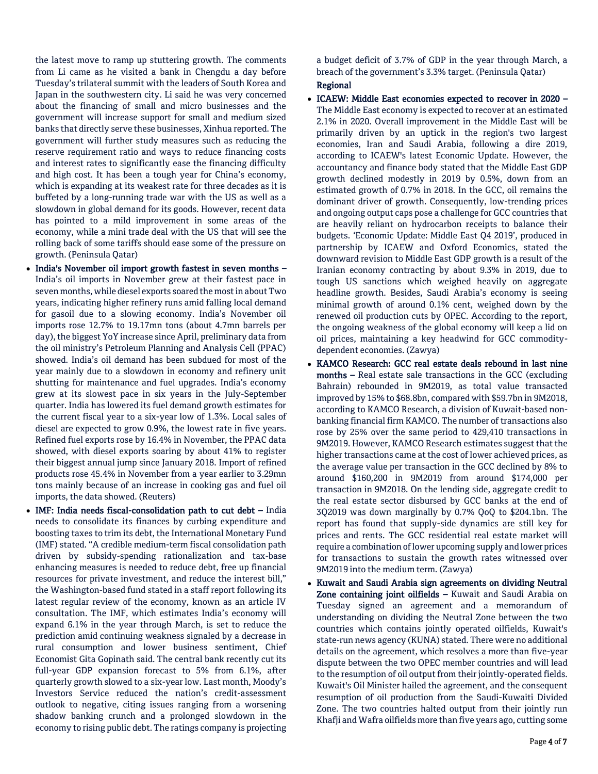the latest move to ramp up stuttering growth. The comments from Li came as he visited a bank in Chengdu a day before Tuesday's trilateral summit with the leaders of South Korea and Japan in the southwestern city. Li said he was very concerned about the financing of small and micro businesses and the government will increase support for small and medium sized banks that directly serve these businesses, Xinhua reported. The government will further study measures such as reducing the reserve requirement ratio and ways to reduce financing costs and interest rates to significantly ease the financing difficulty and high cost. It has been a tough year for China's economy, which is expanding at its weakest rate for three decades as it is buffeted by a long-running trade war with the US as well as a slowdown in global demand for its goods. However, recent data has pointed to a mild improvement in some areas of the economy, while a mini trade deal with the US that will see the rolling back of some tariffs should ease some of the pressure on growth. (Peninsula Qatar)

- India's November oil import growth fastest in seven months -India's oil imports in November grew at their fastest pace in seven months, while diesel exports soared the most in about Two years, indicating higher refinery runs amid falling local demand for gasoil due to a slowing economy. India's November oil imports rose 12.7% to 19.17mn tons (about 4.7mn barrels per day), the biggest YoY increase since April, preliminary data from the oil ministry's Petroleum Planning and Analysis Cell (PPAC) showed. India's oil demand has been subdued for most of the year mainly due to a slowdown in economy and refinery unit shutting for maintenance and fuel upgrades. India's economy grew at its slowest pace in six years in the July-September quarter. India has lowered its fuel demand growth estimates for the current fiscal year to a six-year low of 1.3%. Local sales of diesel are expected to grow 0.9%, the lowest rate in five years. Refined fuel exports rose by 16.4% in November, the PPAC data showed, with diesel exports soaring by about 41% to register their biggest annual jump since January 2018. Import of refined products rose 45.4% in November from a year earlier to 3.29mn tons mainly because of an increase in cooking gas and fuel oil imports, the data showed. (Reuters)
- IMF: India needs fiscal-consolidation path to cut debt India needs to consolidate its finances by curbing expenditure and boosting taxes to trim its debt, the International Monetary Fund (IMF) stated. "A credible medium-term fiscal consolidation path driven by subsidy-spending rationalization and tax-base enhancing measures is needed to reduce debt, free up financial resources for private investment, and reduce the interest bill," the Washington-based fund stated in a staff report following its latest regular review of the economy, known as an article IV consultation. The IMF, which estimates India's economy will expand 6.1% in the year through March, is set to reduce the prediction amid continuing weakness signaled by a decrease in rural consumption and lower business sentiment, Chief Economist Gita Gopinath said. The central bank recently cut its full-year GDP expansion forecast to 5% from 6.1%, after quarterly growth slowed to a six-year low. Last month, Moody's Investors Service reduced the nation's credit-assessment outlook to negative, citing issues ranging from a worsening shadow banking crunch and a prolonged slowdown in the economy to rising public debt. The ratings company is projecting

a budget deficit of 3.7% of GDP in the year through March, a breach of the government's 3.3% target. (Peninsula Qatar)

# Regional

- ICAEW: Middle East economies expected to recover in 2020 The Middle East economy is expected to recover at an estimated 2.1% in 2020. Overall improvement in the Middle East will be primarily driven by an uptick in the region's two largest economies, Iran and Saudi Arabia, following a dire 2019, according to ICAEW's latest Economic Update. However, the accountancy and finance body stated that the Middle East GDP growth declined modestly in 2019 by 0.5%, down from an estimated growth of 0.7% in 2018. In the GCC, oil remains the dominant driver of growth. Consequently, low-trending prices and ongoing output caps pose a challenge for GCC countries that are heavily reliant on hydrocarbon receipts to balance their budgets. 'Economic Update: Middle East Q4 2019', produced in partnership by ICAEW and Oxford Economics, stated the downward revision to Middle East GDP growth is a result of the Iranian economy contracting by about 9.3% in 2019, due to tough US sanctions which weighed heavily on aggregate headline growth. Besides, Saudi Arabia's economy is seeing minimal growth of around 0.1% cent, weighed down by the renewed oil production cuts by OPEC. According to the report, the ongoing weakness of the global economy will keep a lid on oil prices, maintaining a key headwind for GCC commoditydependent economies. (Zawya)
- KAMCO Research: GCC real estate deals rebound in last nine months – Real estate sale transactions in the GCC (excluding Bahrain) rebounded in 9M2019, as total value transacted improved by 15% to \$68.8bn, compared with \$59.7bn in 9M2018, according to KAMCO Research, a division of Kuwait-based nonbanking financial firm KAMCO. The number of transactions also rose by 25% over the same period to 429,410 transactions in 9M2019. However, KAMCO Research estimates suggest that the higher transactions came at the cost of lower achieved prices, as the average value per transaction in the GCC declined by 8% to around \$160,200 in 9M2019 from around \$174,000 per transaction in 9M2018. On the lending side, aggregate credit to the real estate sector disbursed by GCC banks at the end of 3Q2019 was down marginally by 0.7% QoQ to \$204.1bn. The report has found that supply-side dynamics are still key for prices and rents. The GCC residential real estate market will require a combination of lower upcoming supply and lower prices for transactions to sustain the growth rates witnessed over 9M2019 into the medium term. (Zawya)
- Kuwait and Saudi Arabia sign agreements on dividing Neutral Zone containing joint oilfields - Kuwait and Saudi Arabia on Tuesday signed an agreement and a memorandum of understanding on dividing the Neutral Zone between the two countries which contains jointly operated oilfields, Kuwait's state-run news agency (KUNA) stated. There were no additional details on the agreement, which resolves a more than five-year dispute between the two OPEC member countries and will lead to the resumption of oil output from their jointly-operated fields. Kuwait's Oil Minister hailed the agreement, and the consequent resumption of oil production from the Saudi-Kuwaiti Divided Zone. The two countries halted output from their jointly run Khafji and Wafra oilfields more than five years ago, cutting some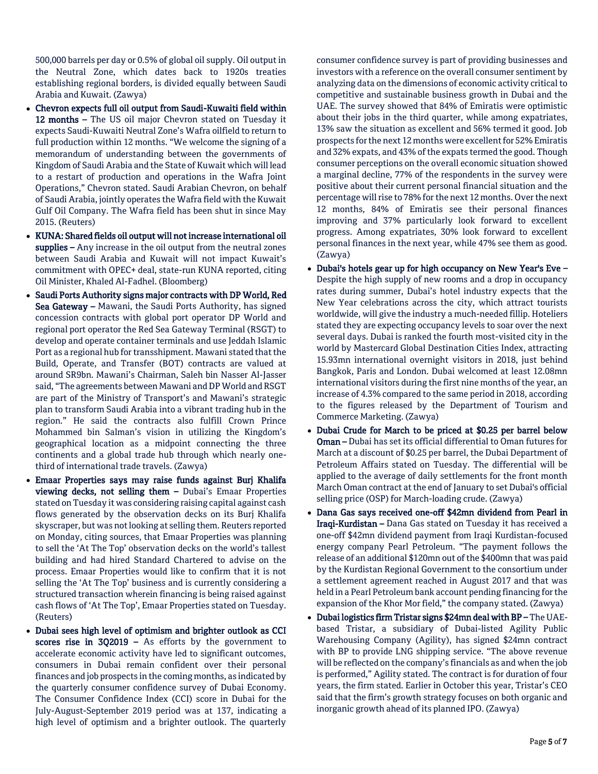500,000 barrels per day or 0.5% of global oil supply. Oil output in the Neutral Zone, which dates back to 1920s treaties establishing regional borders, is divided equally between Saudi Arabia and Kuwait. (Zawya)

- Chevron expects full oil output from Saudi-Kuwaiti field within 12 months – The US oil major Chevron stated on Tuesday it expects Saudi-Kuwaiti Neutral Zone's Wafra oilfield to return to full production within 12 months. "We welcome the signing of a memorandum of understanding between the governments of Kingdom of Saudi Arabia and the State of Kuwait which will lead to a restart of production and operations in the Wafra Joint Operations," Chevron stated. Saudi Arabian Chevron, on behalf of Saudi Arabia, jointly operates the Wafra field with the Kuwait Gulf Oil Company. The Wafra field has been shut in since May 2015. (Reuters)
- KUNA: Shared fields oil output will not increase international oil supplies – Any increase in the oil output from the neutral zones between Saudi Arabia and Kuwait will not impact Kuwait's commitment with OPEC+ deal, state-run KUNA reported, citing Oil Minister, Khaled Al-Fadhel. (Bloomberg)
- Saudi Ports Authority signs major contracts with DP World, Red Sea Gateway – Mawani, the Saudi Ports Authority, has signed concession contracts with global port operator DP World and regional port operator the Red Sea Gateway Terminal (RSGT) to develop and operate container terminals and use Jeddah Islamic Port as a regional hub for transshipment. Mawani stated that the Build, Operate, and Transfer (BOT) contracts are valued at around SR9bn. Mawani's Chairman, Saleh bin Nasser Al-Jasser said, "The agreements between Mawani and DP World and RSGT are part of the Ministry of Transport's and Mawani's strategic plan to transform Saudi Arabia into a vibrant trading hub in the region." He said the contracts also fulfill Crown Prince Mohammed bin Salman's vision in utilizing the Kingdom's geographical location as a midpoint connecting the three continents and a global trade hub through which nearly onethird of international trade travels. (Zawya)
- Emaar Properties says may raise funds against Burj Khalifa viewing decks, not selling them – Dubai's Emaar Properties stated on Tuesday it was considering raising capital against cash flows generated by the observation decks on its Burj Khalifa skyscraper, but was not looking at selling them. Reuters reported on Monday, citing sources, that Emaar Properties was planning to sell the 'At The Top' observation decks on the world's tallest building and had hired Standard Chartered to advise on the process. Emaar Properties would like to confirm that it is not selling the 'At The Top' business and is currently considering a structured transaction wherein financing is being raised against cash flows of 'At The Top', Emaar Properties stated on Tuesday. (Reuters)
- Dubai sees high level of optimism and brighter outlook as CCI scores rise in  $302019 - As$  efforts by the government to accelerate economic activity have led to significant outcomes, consumers in Dubai remain confident over their personal finances and job prospects in the coming months, as indicated by the quarterly consumer confidence survey of Dubai Economy. The Consumer Confidence Index (CCI) score in Dubai for the July-August-September 2019 period was at 137, indicating a high level of optimism and a brighter outlook. The quarterly

consumer confidence survey is part of providing businesses and investors with a reference on the overall consumer sentiment by analyzing data on the dimensions of economic activity critical to competitive and sustainable business growth in Dubai and the UAE. The survey showed that 84% of Emiratis were optimistic about their jobs in the third quarter, while among expatriates, 13% saw the situation as excellent and 56% termed it good. Job prospects for the next 12 months were excellent for 52% Emiratis and 32% expats, and 43% of the expats termed the good. Though consumer perceptions on the overall economic situation showed a marginal decline, 77% of the respondents in the survey were positive about their current personal financial situation and the percentage will rise to 78% for the next 12 months. Over the next 12 months, 84% of Emiratis see their personal finances improving and 37% particularly look forward to excellent progress. Among expatriates, 30% look forward to excellent personal finances in the next year, while 47% see them as good. (Zawya)

- Dubai's hotels gear up for high occupancy on New Year's Eve Despite the high supply of new rooms and a drop in occupancy rates during summer, Dubai's hotel industry expects that the New Year celebrations across the city, which attract tourists worldwide, will give the industry a much-needed fillip. Hoteliers stated they are expecting occupancy levels to soar over the next several days. Dubai is ranked the fourth most-visited city in the world by Mastercard Global Destination Cities Index, attracting 15.93mn international overnight visitors in 2018, just behind Bangkok, Paris and London. Dubai welcomed at least 12.08mn international visitors during the first nine months of the year, an increase of 4.3% compared to the same period in 2018, according to the figures released by the Department of Tourism and Commerce Marketing. (Zawya)
- Dubai Crude for March to be priced at \$0.25 per barrel below Oman – Dubai has set its official differential to Oman futures for March at a discount of \$0.25 per barrel, the Dubai Department of Petroleum Affairs stated on Tuesday. The differential will be applied to the average of daily settlements for the front month March Oman contract at the end of January to set Dubai's official selling price (OSP) for March-loading crude. (Zawya)
- Dana Gas says received one-off \$42mn dividend from Pearl in Iraqi-Kurdistan – Dana Gas stated on Tuesday it has received a one-off \$42mn dividend payment from Iraqi Kurdistan-focused energy company Pearl Petroleum. "The payment follows the release of an additional \$120mn out of the \$400mn that was paid by the Kurdistan Regional Government to the consortium under a settlement agreement reached in August 2017 and that was held in a Pearl Petroleum bank account pending financing for the expansion of the Khor Mor field," the company stated. (Zawya)
- Dubai logistics firm Tristar signs \$24mn deal with BP The UAEbased Tristar, a subsidiary of Dubai-listed Agility Public Warehousing Company (Agility), has signed \$24mn contract with BP to provide LNG shipping service. "The above revenue will be reflected on the company's financials as and when the job is performed," Agility stated. The contract is for duration of four years, the firm stated. Earlier in October this year, Tristar's CEO said that the firm's growth strategy focuses on both organic and inorganic growth ahead of its planned IPO. (Zawya)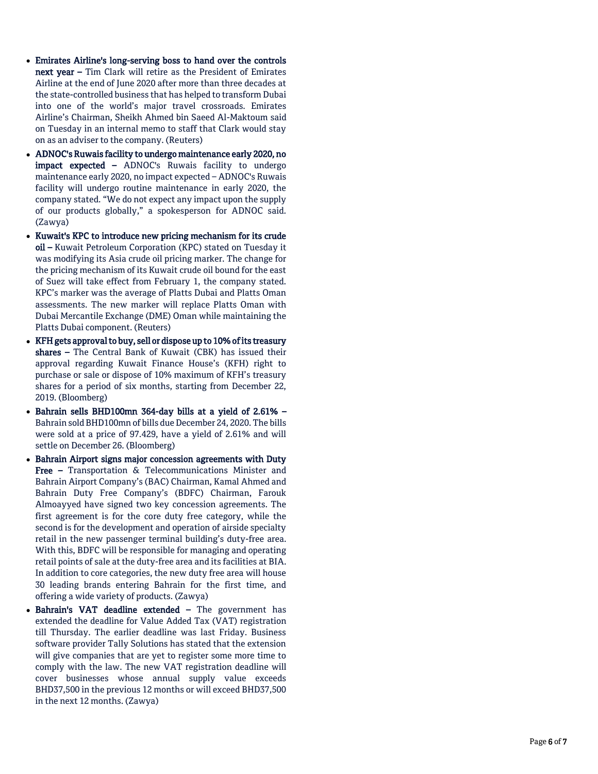- Emirates Airline's long-serving boss to hand over the controls next year - Tim Clark will retire as the President of Emirates Airline at the end of June 2020 after more than three decades at the state -controlled business that has helped to transform Dubai into one of the world's major travel crossroads. Emirates Airline's Chairman, Sheikh Ahmed bin Saeed Al -Maktoum said on Tuesday in an internal memo to staff that Clark would stay on as an adviser to the company. (Reuters)
- ADNOC's Ruwais facility to undergo maintenance early 2020, no **impact expected –** ADNOC's Ruwais facility to undergo maintenance early 2020, no impact expected – ADNOC's Ruwais facility will undergo routine maintenance in early 2020, the company stated. "We do not expect any impact upon the supply of our products globally," a spokesperson for ADNOC said. (Zawya)
- Kuwait's KPC to introduce new pricing mechanism for its crude oil – Kuwait Petroleum Corporation (KPC) stated on Tuesday it was modifying its Asia crude oil pricing marker. The change for the pricing mechanism of its Kuwait crude oil bound for the east of Suez will take effect from February 1, the company stated. KPC's marker was the average of Platts Dubai and Platts Oman assessments. The new marker will replace Platts Oman with Dubai Mercantile Exchange (DME) Oman while maintaining the Platts Dubai component. (Reuters)
- KFH gets approval to buy, sell or dispose up to 10% of its treasury shares – The Central Bank of Kuwait (CBK) has issued their approval regarding Kuwait Finance House's (KFH) right to purchase or sale or dispose of 10% maximum of KFH's treasury shares for a period of six months, starting from December 22, 2019. (Bloomberg)
- Bahrain sells BHD100mn 364 -day bills at a yield of 2.61% Bahrain sold BHD100mn of bills due December 24, 2020. The bills were sold at a price of 97.429, have a yield of 2.61% and will settle on December 26. (Bloomberg)
- Bahrain Airport signs major concession agreements with Duty **Free -** Transportation & Telecommunications Minister and Bahrain Airport Company's (BAC) Chairman, Kamal Ahmed and Bahrain Duty Free Company's (BDFC) Chairman, Farouk Almoayyed have signed two key concession agreements. The first agreement is for the core duty free category, while the second is for the development and operation of airside specialty retail in the new passenger terminal building's duty -free area. With this, BDFC will be responsible for managing and operating retail points of sale at the duty -free area and its facilities at BIA. In addition to core categories, the new duty free area will house 30 leading brands entering Bahrain for the first time, and offering a wide variety of products. (Zawya)
- Bahrain's VAT deadline extended The government has extended the deadline for Value Added Tax (VAT) registration till Thursday. The earlier deadline was last Friday. Business software provider Tally Solutions has stated that the extension will give companies that are yet to register some more time to comply with the law. The new VAT registration deadline will cover businesses whose annual supply value exceeds BHD37,500 in the previous 12 months or will exceed BHD37,500 in the next 12 months. (Zawya)